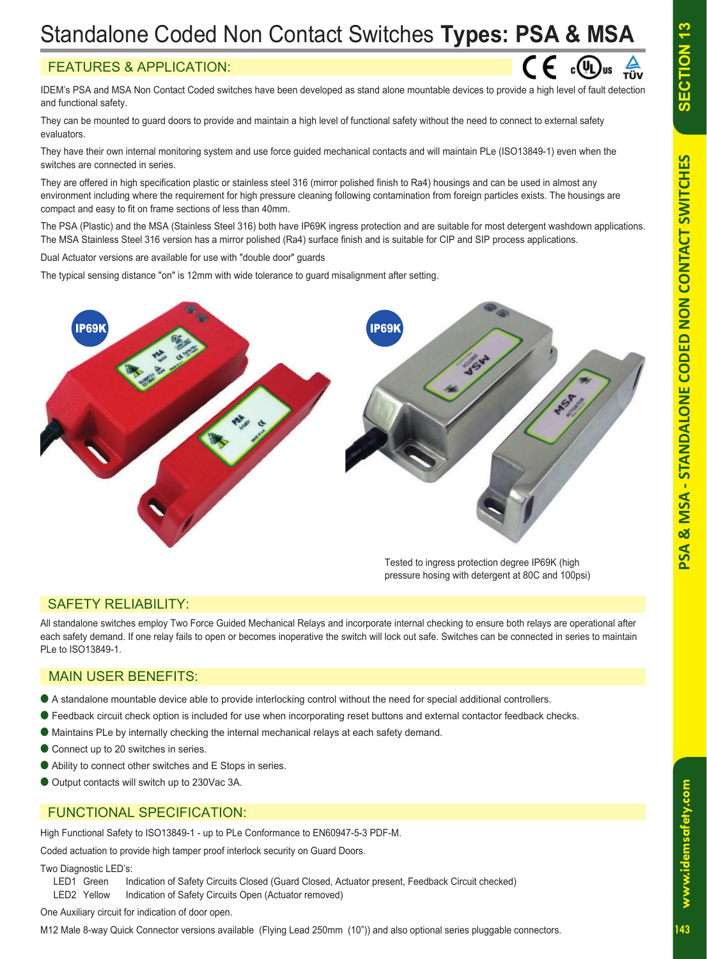# **SECTION 13**

 $\zeta \in \Omega_{\text{max}}$ 

# Standalone Coded Non Contact Switches **Types: PSA & MSA**

## FEATURES & APPLICATION:

IDEM's PSA and MSA Non Contact Coded switches have been developed as stand alone mountable devices to provide a high level of fault detection and functional safety.

They can be mounted to guard doors to provide and maintain a high level of functional safety without the need to connect to external safety evaluators.

They have their own internal monitoring system and use force guided mechanical contacts and will maintain PLe (ISO13849-1) even when the switches are connected in series.

They are offered in high specification plastic or stainless steel 316 (mirror polished finish to Ra4) housings and can be used in almost any environment including where the requirement for high pressure cleaning following contamination from foreign particles exists. The housings are compact and easy to fit on frame sections of less than 40mm.

The PSA (Plastic) and the MSA (Stainless Steel 316) both have IP69K ingress protection and are suitable for most detergent washdown applications. The MSA Stainless Steel 316 version has a mirror polished (Ra4) surface finish and is suitable for CIP and SIP process applications.

Dual Actuator versions are available for use with "double door" guards

The typical sensing distance "on" is 12mm with wide tolerance to guard misalignment after setting.



Tested to ingress protection degree IP69K (high pressure hosing with detergent at 80C and 100psi)

## SAFETY RELIABILITY:

All standalone switches employ Two Force Guided Mechanical Relays and incorporate internal checking to ensure both relays are operational after each safety demand. If one relay fails to open or becomes inoperative the switch will lock out safe. Switches can be connected in series to maintain PLe to ISO13849-1.

#### MAIN USER BENEFITS:

- A standalone mountable device able to provide interlocking control without the need for special additional controllers.
- Feedback circuit check option is included for use when incorporating reset buttons and external contactor feedback checks.
- Maintains PLe by internally checking the internal mechanical relays at each safety demand.
- Connect up to 20 switches in series.
- Ability to connect other switches and E Stops in series.
- Output contacts will switch up to 230Vac 3A.

## FUNCTIONAL SPECIFICATION:

High Functional Safety to ISO13849-1 - up to PLe Conformance to EN60947-5-3 PDF-M.

Coded actuation to provide high tamper proof interlock security on Guard Doors.

Two Diagnostic LED's:

LED1 Green Indication of Safety Circuits Closed (Guard Closed, Actuator present, Feedback Circuit checked)

LED2 Yellow Indication of Safety Circuits Open (Actuator removed)

One Auxiliary circuit for indication of door open.

M12 Male 8-way Quick Connector versions available (Flying Lead 250mm (10")) and also optional series pluggable connectors.

www.idemsafety.com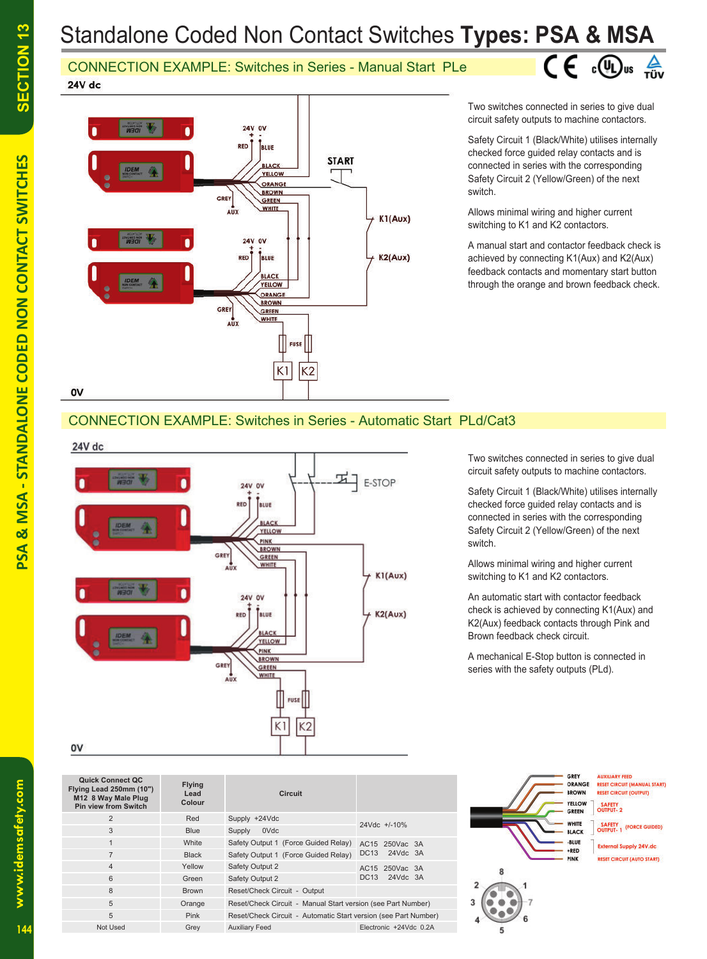# Standalone Coded Non Contact Switches **Types: PSA & MSA**

CONNECTION EXAMPLE: Switches in Series - Manual Start PLe  $24V$  dc



Two switches connected in series to give dual circuit safety outputs to machine contactors.

 $C \in \mathbb{C}$   $\mathbb{C}$   $\mathbb{C}$   $\mathbb{C}$   $\mathbb{C}$   $\mathbb{C}$   $\mathbb{C}$   $\mathbb{C}$   $\mathbb{C}$   $\mathbb{C}$   $\mathbb{C}$   $\mathbb{C}$   $\mathbb{C}$   $\mathbb{C}$   $\mathbb{C}$   $\mathbb{C}$   $\mathbb{C}$   $\mathbb{C}$   $\mathbb{C}$   $\mathbb{C}$   $\mathbb{C}$   $\mathbb{C}$   $\mathbb{C}$   $\mathbb{C}$   $\$ 

Safety Circuit 1 (Black/White) utilises internally checked force guided relay contacts and is connected in series with the corresponding Safety Circuit 2 (Yellow/Green) of the next switch.

Allows minimal wiring and higher current switching to K1 and K2 contactors.

A manual start and contactor feedback check is achieved by connecting K1(Aux) and K2(Aux) feedback contacts and momentary start button through the orange and brown feedback check.

## CONNECTION EXAMPLE: Switches in Series - Automatic Start PLd/Cat3

24V dc



Two switches connected in series to give dual circuit safety outputs to machine contactors.

Safety Circuit 1 (Black/White) utilises internally checked force guided relay contacts and is connected in series with the corresponding Safety Circuit 2 (Yellow/Green) of the next switch.

Allows minimal wiring and higher current switching to K1 and K2 contactors.

An automatic start with contactor feedback check is achieved by connecting K1(Aux) and K2(Aux) feedback contacts through Pink and Brown feedback check circuit.

A mechanical E-Stop button is connected in series with the safety outputs (PLd).

| <b>Quick Connect QC</b><br>Flying Lead 250mm (10")<br>M12 8 Way Male Plug<br><b>Pin view from Switch</b> | <b>Flying</b><br>Lead<br>Colour | <b>Circuit</b>                                                  |                              |  |
|----------------------------------------------------------------------------------------------------------|---------------------------------|-----------------------------------------------------------------|------------------------------|--|
| 2                                                                                                        | Red                             | Supply +24Vdc                                                   | $24Vdc +10\%$                |  |
| 3                                                                                                        | <b>Blue</b>                     | 0Vdc<br>Supply                                                  |                              |  |
| $\mathbf{1}$                                                                                             | White                           | Safety Output 1 (Force Guided Relay)                            | AC15 250Vac 3A               |  |
| $\overline{7}$                                                                                           | <b>Black</b>                    | Safety Output 1 (Force Guided Relay)                            | 24Vdc 3A<br><b>DC13</b>      |  |
| $\overline{4}$                                                                                           | Yellow                          | Safety Output 2                                                 | 250Vac 3A<br>AC15            |  |
| 6                                                                                                        | Green                           | Safety Output 2                                                 | 24Vdc 3A<br>DC <sub>13</sub> |  |
| 8                                                                                                        | <b>Brown</b>                    | Reset/Check Circuit - Output                                    |                              |  |
| 5                                                                                                        | Orange                          | Reset/Check Circuit - Manual Start version (see Part Number)    |                              |  |
| 5                                                                                                        | <b>Pink</b>                     | Reset/Check Circuit - Automatic Start version (see Part Number) |                              |  |
| Not Used                                                                                                 | Grev                            | <b>Auxiliary Feed</b>                                           | Electronic +24Vdc 0.2A       |  |